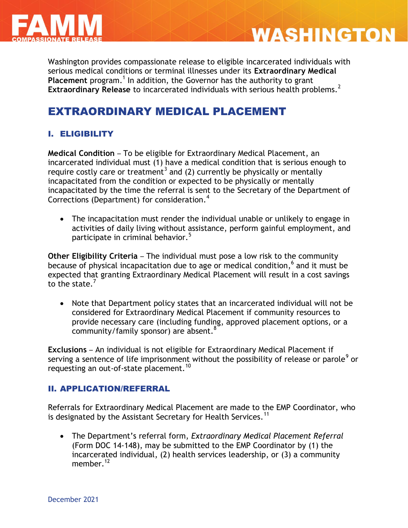

# **WASHINGTON**

Washington provides compassionate release to eligible incarcerated individuals with serious medical conditions or terminal illnesses under its **Extraordinary Medical**  Placement program.<sup>1</sup> In addition, the Governor has the authority to grant **Extraordinary Release** to incarcerated individuals with serious health problems.<sup>2</sup>

# EXTRAORDINARY MEDICAL PLACEMENT

## I. ELIGIBILITY

**Medical Condition** – To be eligible for Extraordinary Medical Placement, an incarcerated individual must (1) have a medical condition that is serious enough to require costly care or treatment<sup>3</sup> and (2) currently be physically or mentally incapacitated from the condition or expected to be physically or mentally incapacitated by the time the referral is sent to the Secretary of the Department of Corrections (Department) for consideration.<sup>4</sup>

 The incapacitation must render the individual unable or unlikely to engage in activities of daily living without assistance, perform gainful employment, and participate in criminal behavior.<sup>5</sup>

**Other Eligibility Criteria** – The individual must pose a low risk to the community because of physical incapacitation due to age or medical condition, 6 and it must be expected that granting Extraordinary Medical Placement will result in a cost savings to the state. $<sup>7</sup>$ </sup>

 Note that Department policy states that an incarcerated individual will not be considered for Extraordinary Medical Placement if community resources to provide necessary care (including funding, approved placement options, or a community/family sponsor) are absent.<sup>8</sup>

**Exclusions** – An individual is not eligible for Extraordinary Medical Placement if serving a sentence of life imprisonment without the possibility of release or parole<sup>9</sup> or requesting an out-of-state placement.<sup>10</sup>

## II. APPLICATION/REFERRAL

Referrals for Extraordinary Medical Placement are made to the EMP Coordinator, who is designated by the Assistant Secretary for Health Services.<sup>11</sup>

 The Department's referral form, *Extraordinary Medical Placement Referral*  (Form DOC 14-148), may be submitted to the EMP Coordinator by (1) the incarcerated individual, (2) health services leadership, or (3) a community member  $12$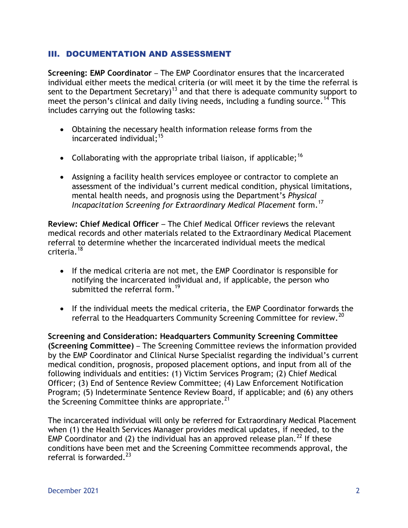#### III. DOCUMENTATION AND ASSESSMENT

**Screening: EMP Coordinator - The EMP Coordinator ensures that the incarcerated** individual either meets the medical criteria (or will meet it by the time the referral is sent to the Department Secretary)<sup>13</sup> and that there is adequate community support to meet the person's clinical and daily living needs, including a funding source.<sup>14</sup> This includes carrying out the following tasks:

- Obtaining the necessary health information release forms from the incarcerated individual;<sup>15</sup>
- Collaborating with the appropriate tribal liaison, if applicable:<sup>16</sup>
- Assigning a facility health services employee or contractor to complete an assessment of the individual's current medical condition, physical limitations, mental health needs, and prognosis using the Department's *Physical Incapacitation Screening for Extraordinary Medical Placement* form.<sup>17</sup>

**Review: Chief Medical Officer** – The Chief Medical Officer reviews the relevant medical records and other materials related to the Extraordinary Medical Placement referral to determine whether the incarcerated individual meets the medical criteria.<sup>18</sup>

- If the medical criteria are not met, the EMP Coordinator is responsible for notifying the incarcerated individual and, if applicable, the person who submitted the referral form.<sup>19</sup>
- If the individual meets the medical criteria, the EMP Coordinator forwards the referral to the Headquarters Community Screening Committee for review.<sup>20</sup>

**Screening and Consideration: Headquarters Community Screening Committee (Screening Committee)** – The Screening Committee reviews the information provided by the EMP Coordinator and Clinical Nurse Specialist regarding the individual's current medical condition, prognosis, proposed placement options, and input from all of the following individuals and entities: (1) Victim Services Program; (2) Chief Medical Officer; (3) End of Sentence Review Committee; (4) Law Enforcement Notification Program; (5) Indeterminate Sentence Review Board, if applicable; and (6) any others the Screening Committee thinks are appropriate. $^{21}$ 

The incarcerated individual will only be referred for Extraordinary Medical Placement when (1) the Health Services Manager provides medical updates, if needed, to the EMP Coordinator and (2) the individual has an approved release plan.<sup>22</sup> If these conditions have been met and the Screening Committee recommends approval, the referral is forwarded. $^{23}$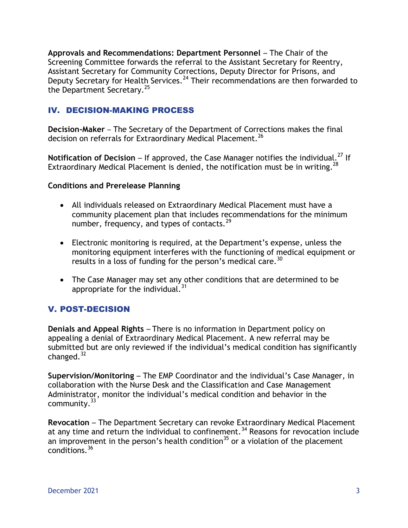**Approvals and Recommendations: Department Personnel** – The Chair of the Screening Committee forwards the referral to the Assistant Secretary for Reentry, Assistant Secretary for Community Corrections, Deputy Director for Prisons, and Deputy Secretary for Health Services.<sup>24</sup> Their recommendations are then forwarded to the Department Secretary.<sup>25</sup>

#### IV. DECISION-MAKING PROCESS

**Decision-Maker** – The Secretary of the Department of Corrections makes the final decision on referrals for Extraordinary Medical Placement.<sup>26</sup>

**Notification of Decision – If approved, the Case Manager notifies the individual.<sup>27</sup> If** Extraordinary Medical Placement is denied, the notification must be in writing.<sup>28</sup>

#### **Conditions and Prerelease Planning**

- All individuals released on Extraordinary Medical Placement must have a community placement plan that includes recommendations for the minimum number, frequency, and types of contacts. $^{29}$
- Electronic monitoring is required, at the Department's expense, unless the monitoring equipment interferes with the functioning of medical equipment or results in a loss of funding for the person's medical care.<sup>30</sup>
- The Case Manager may set any other conditions that are determined to be appropriate for the individual. $31$

## V. POST-DECISION

**Denials and Appeal Rights** – There is no information in Department policy on appealing a denial of Extraordinary Medical Placement. A new referral may be submitted but are only reviewed if the individual's medical condition has significantly changed. $32$ 

**Supervision/Monitoring** – The EMP Coordinator and the individual's Case Manager, in collaboration with the Nurse Desk and the Classification and Case Management Administrator, monitor the individual's medical condition and behavior in the community.<sup>33</sup>

**Revocation** – The Department Secretary can revoke Extraordinary Medical Placement at any time and return the individual to confinement.<sup>34</sup> Reasons for revocation include an improvement in the person's health condition<sup>35</sup> or a violation of the placement conditions.<sup>36</sup>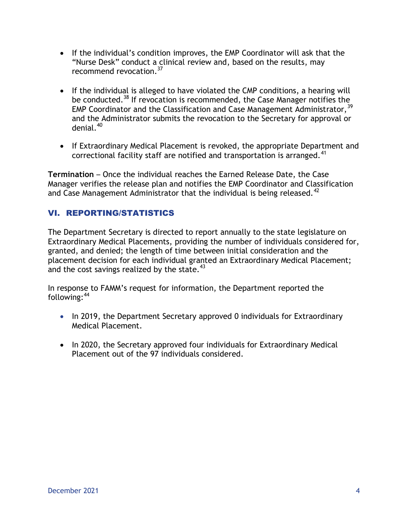- If the individual's condition improves, the EMP Coordinator will ask that the "Nurse Desk" conduct a clinical review and, based on the results, may recommend revocation.<sup>37</sup>
- If the individual is alleged to have violated the CMP conditions, a hearing will be conducted.<sup>38</sup> If revocation is recommended, the Case Manager notifies the EMP Coordinator and the Classification and Case Management Administrator,  $39$ and the Administrator submits the revocation to the Secretary for approval or denial.<sup>40</sup>
- If Extraordinary Medical Placement is revoked, the appropriate Department and correctional facility staff are notified and transportation is arranged.<sup>41</sup>

**Termination** – Once the individual reaches the Earned Release Date, the Case Manager verifies the release plan and notifies the EMP Coordinator and Classification and Case Management Administrator that the individual is being released.<sup>42</sup>

## VI. REPORTING/STATISTICS

The Department Secretary is directed to report annually to the state legislature on Extraordinary Medical Placements, providing the number of individuals considered for, granted, and denied; the length of time between initial consideration and the placement decision for each individual granted an Extraordinary Medical Placement; and the cost savings realized by the state. $43$ 

In response to FAMM's request for information, the Department reported the following: 44

- In 2019, the Department Secretary approved 0 individuals for Extraordinary Medical Placement.
- In 2020, the Secretary approved four individuals for Extraordinary Medical Placement out of the 97 individuals considered.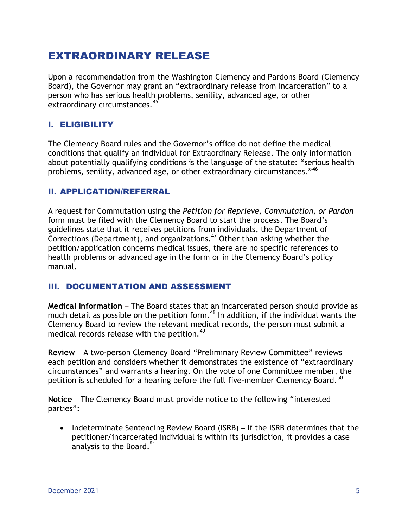# EXTRAORDINARY RELEASE

Upon a recommendation from the Washington Clemency and Pardons Board (Clemency Board), the Governor may grant an "extraordinary release from incarceration" to a person who has serious health problems, senility, advanced age, or other extraordinary circumstances.<sup>45</sup>

#### I. ELIGIBILITY

The Clemency Board rules and the Governor's office do not define the medical conditions that qualify an individual for Extraordinary Release. The only information about potentially qualifying conditions is the language of the statute: "serious health problems, senility, advanced age, or other extraordinary circumstances."<sup>46</sup>

#### II. APPLICATION/REFERRAL

A request for Commutation using the *Petition for Reprieve, Commutation, or Pardon*  form must be filed with the Clemency Board to start the process. The Board's guidelines state that it receives petitions from individuals, the Department of Corrections (Department), and organizations.<sup>47</sup> Other than asking whether the petition/application concerns medical issues, there are no specific references to health problems or advanced age in the form or in the Clemency Board's policy manual.

#### III. DOCUMENTATION AND ASSESSMENT

**Medical Information** – The Board states that an incarcerated person should provide as much detail as possible on the petition form.<sup>48</sup> In addition, if the individual wants the Clemency Board to review the relevant medical records, the person must submit a medical records release with the petition.<sup>49</sup>

**Review** – A two-person Clemency Board "Preliminary Review Committee" reviews each petition and considers whether it demonstrates the existence of "extraordinary circumstances" and warrants a hearing. On the vote of one Committee member, the petition is scheduled for a hearing before the full five-member Clemency Board.<sup>50</sup>

**Notice** – The Clemency Board must provide notice to the following "interested parties":

• Indeterminate Sentencing Review Board (ISRB) – If the ISRB determines that the petitioner/incarcerated individual is within its jurisdiction, it provides a case analysis to the Board.<sup>51</sup>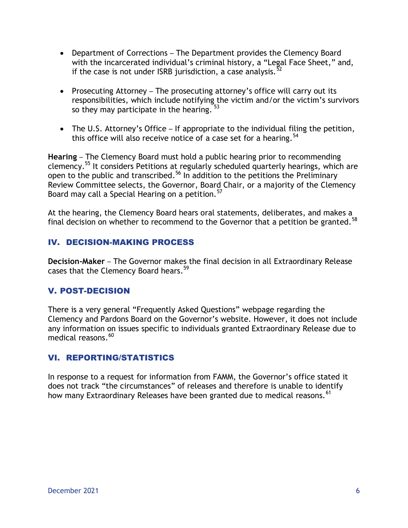- Department of Corrections The Department provides the Clemency Board with the incarcerated individual's criminal history, a "Legal Face Sheet," and, if the case is not under ISRB jurisdiction, a case analysis.<sup>52</sup>
- Prosecuting Attorney The prosecuting attorney's office will carry out its responsibilities, which include notifying the victim and/or the victim's survivors so they may participate in the hearing.  $53$
- The U.S. Attorney's Office If appropriate to the individual filing the petition, this office will also receive notice of a case set for a hearing.<sup>54</sup>

**Hearing** – The Clemency Board must hold a public hearing prior to recommending clemency.<sup>55</sup> It considers Petitions at regularly scheduled quarterly hearings, which are open to the public and transcribed.<sup>56</sup> In addition to the petitions the Preliminary Review Committee selects, the Governor, Board Chair, or a majority of the Clemency Board may call a Special Hearing on a petition.  $^{57}$ 

At the hearing, the Clemency Board hears oral statements, deliberates, and makes a final decision on whether to recommend to the Governor that a petition be granted.<sup>58</sup>

#### IV. DECISION-MAKING PROCESS

**Decision-Maker** – The Governor makes the final decision in all Extraordinary Release cases that the Clemency Board hears. 59

## V. POST-DECISION

There is a very general "Frequently Asked Questions" webpage regarding the Clemency and Pardons Board on the Governor's website. However, it does not include any information on issues specific to individuals granted Extraordinary Release due to medical reasons.<sup>60</sup>

#### VI. REPORTING/STATISTICS

In response to a request for information from FAMM, the Governor's office stated it does not track "the circumstances" of releases and therefore is unable to identify how many Extraordinary Releases have been granted due to medical reasons.<sup>61</sup>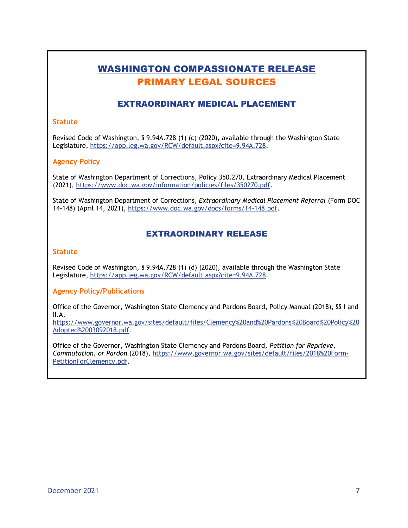# WASHINGTON COMPASSIONATE RELEASE PRIMARY LEGAL SOURCES

#### EXTRAORDINARY MEDICAL PLACEMENT

#### **Statute**

Revised Code of Washington, § 9.94A.728 (1) (c) (2020), available through the Washington State Legislature, [https://app.leg.wa.gov/RCW/default.aspx?cite=9.94A.728.](https://app.leg.wa.gov/RCW/default.aspx?cite=9.94A.728)

#### **Agency Policy**

State of Washington Department of Corrections, Policy 350.270, Extraordinary Medical Placement (2021), [https://www.doc.wa.gov/information/policies/files/350270.pdf.](https://www.doc.wa.gov/information/policies/files/350270.pdf)

State of Washington Department of Corrections, *Extraordinary Medical Placement Referral* (Form DOC 14-148) (April 14, 2021), [https://www.doc.wa.gov/docs/forms/14-148.pdf.](https://www.doc.wa.gov/docs/forms/14-148.pdf)

#### EXTRAORDINARY RELEASE

#### **Statute**

Revised Code of Washington, § 9.94A.728 (1) (d) (2020), available through the Washington State Legislature, [https://app.leg.wa.gov/RCW/default.aspx?cite=9.94A.728.](https://app.leg.wa.gov/RCW/default.aspx?cite=9.94A.728)

#### **Agency Policy/Publications**

Office of the Governor, Washington State Clemency and Pardons Board, Policy Manual (2018), §§ I and II.A,

[https://www.governor.wa.gov/sites/default/files/Clemency%20and%20Pardons%20Board%20Policy%20](https://www.governor.wa.gov/sites/default/files/Clemency%20and%20Pardons%20Board%20Policy%20Adopted%2003092018.pdf) [Adopted%2003092018.pdf.](https://www.governor.wa.gov/sites/default/files/Clemency%20and%20Pardons%20Board%20Policy%20Adopted%2003092018.pdf)

Office of the Governor, Washington State Clemency and Pardons Board, *Petition for Reprieve, Commutation, or Pardon* (2018), [https://www.governor.wa.gov/sites/default/files/2018%20Form-](https://www.governor.wa.gov/sites/default/files/2018%20Form-PetitionForClemency.pdf)[PetitionForClemency.pdf.](https://www.governor.wa.gov/sites/default/files/2018%20Form-PetitionForClemency.pdf)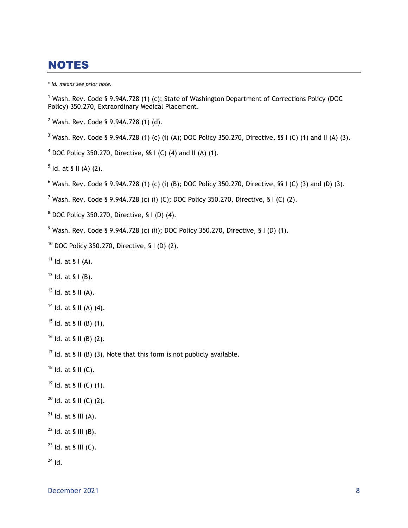## NOTES

\* *Id. means see prior note.*

<sup>1</sup> Wash. Rev. Code § 9.94A.728 (1) (c); State of Washington Department of Corrections Policy (DOC Policy) 350.270, Extraordinary Medical Placement.

Wash. Rev. Code § 9.94A.728 (1) (d).

<sup>3</sup> Wash. Rev. Code § 9.94A.728 (1) (c) (i) (A); DOC Policy 350.270, Directive, §§ I (C) (1) and II (A) (3).

DOC Policy 350.270, Directive, SS I (C) (4) and II (A) (1).

ld. at § II (A) (2).

<sup>6</sup> Wash. Rev. Code § 9.94A.728 (1) (c) (i) (B); DOC Policy 350.270, Directive, §§ I (C) (3) and (D) (3).

<sup>7</sup> Wash. Rev. Code § 9.94A.728 (c) (i) (C); DOC Policy 350.270, Directive, § I (C) (2).

DOC Policy 350.270, Directive, § I (D) (4).

Wash. Rev. Code § 9.94A.728 (c) (ii); DOC Policy 350.270, Directive, § I (D) (1).

DOC Policy 350.270, Directive, § I (D) (2).

Id. at § I (A).

Id. at § I (B).

Id. at § II (A).

Id. at § II (A) (4).

Id. at § II (B) (1).

Id. at § II (B) (2).

<sup>17</sup> Id. at § II (B) (3). Note that this form is not publicly available.

Id. at § II (C).

Id. at § II (C) (1).

Id. at § II (C) (2).

Id. at § III (A).

Id. at § III (B).

ld. at § III (C).

Id.

December 2021 8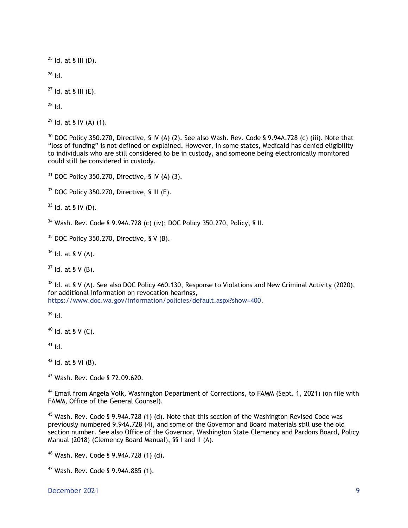$^{25}$  Id. at § III (D).

Id.

Id. at § III (E).

Id.

Id. at § IV (A) (1).

 DOC Policy 350.270, Directive, § IV (A) (2). See also Wash. Rev. Code § 9.94A.728 (c) (iii). Note that "loss of funding" is not defined or explained. However, in some states, Medicaid has denied eligibility to individuals who are still considered to be in custody, and someone being electronically monitored could still be considered in custody.

DOC Policy 350.270, Directive, § IV (A) (3).

DOC Policy 350.270, Directive, § III (E).

Id. at § IV (D).

Wash. Rev. Code § 9.94A.728 (c) (iv); DOC Policy 350.270, Policy, § II.

DOC Policy 350.270, Directive, § V (B).

Id. at § V (A).

Id. at § V (B).

 Id. at § V (A). See also DOC Policy 460.130, Response to Violations and New Criminal Activity (2020), for additional information on revocation hearings, [https://www.doc.wa.gov/information/policies/default.aspx?show=400.](https://www.doc.wa.gov/information/policies/default.aspx?show=400)

Id.

Id. at § V (C).

Id.

Id. at § VI (B).

Wash. Rev. Code § 72.09.620.

<sup>44</sup> Email from Angela Volk, Washington Department of Corrections, to FAMM (Sept. 1, 2021) (on file with FAMM, Office of the General Counsel).

 Wash. Rev. Code § 9.94A.728 (1) (d). Note that this section of the Washington Revised Code was previously numbered 9.94A.728 (4), and some of the Governor and Board materials still use the old section number. See also Office of the Governor, Washington State Clemency and Pardons Board, Policy Manual (2018) (Clemency Board Manual), §§ I and II (A).

Wash. Rev. Code § 9.94A.728 (1) (d).

Wash. Rev. Code § 9.94A.885 (1).